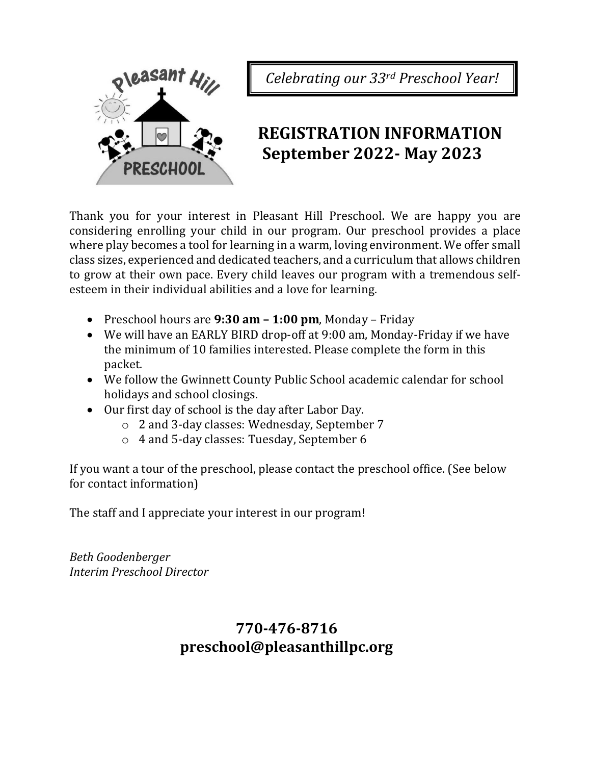

*Celebrating our 33rd Preschool Year!*

# **REGISTRATION INFORMATION September 2022- May 2023**

Thank you for your interest in Pleasant Hill Preschool. We are happy you are considering enrolling your child in our program. Our preschool provides a place where play becomes a tool for learning in a warm, loving environment. We offer small class sizes, experienced and dedicated teachers, and a curriculum that allows children to grow at their own pace. Every child leaves our program with a tremendous selfesteem in their individual abilities and a love for learning.

- Preschool hours are **9:30 am – 1:00 pm**, Monday Friday
- We will have an EARLY BIRD drop-off at 9:00 am, Monday-Friday if we have the minimum of 10 families interested. Please complete the form in this packet.
- We follow the Gwinnett County Public School academic calendar for school holidays and school closings.
- Our first day of school is the day after Labor Day.
	- o 2 and 3-day classes: Wednesday, September 7
	- o 4 and 5-day classes: Tuesday, September 6

If you want a tour of the preschool, please contact the preschool office. (See below for contact information)

The staff and I appreciate your interest in our program!

*Beth Goodenberger Interim Preschool Director*

## **770-476-8716 preschool@pleasanthillpc.org**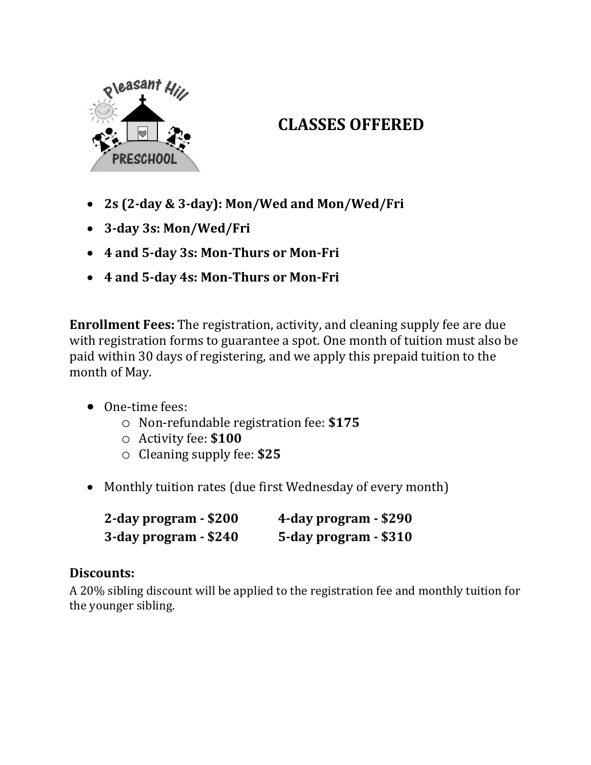

# **CLASSES OFFERED**

- **2s (2-day & 3-day): Mon/Wed and Mon/Wed/Fri**
- **3-day 3s: Mon/Wed/Fri**
- **4 and 5-day 3s: Mon-Thurs or Mon-Fri**
- **4 and 5-day 4s: Mon-Thurs or Mon-Fri**

**Enrollment Fees:** The registration, activity, and cleaning supply fee are due with registration forms to guarantee a spot. One month of tuition must also be paid within 30 days of registering, and we apply this prepaid tuition to the month of May.

- One-time fees:
	- o Non-refundable registration fee: **\$175**
	- o Activity fee: **\$100**
	- o Cleaning supply fee: **\$25**
- Monthly tuition rates (due first Wednesday of every month)

| 2-day program - \$200 | 4-day program - \$290 |
|-----------------------|-----------------------|
| 3-day program - \$240 | 5-day program - \$310 |

## **Discounts:**

A 20% sibling discount will be applied to the registration fee and monthly tuition for the younger sibling.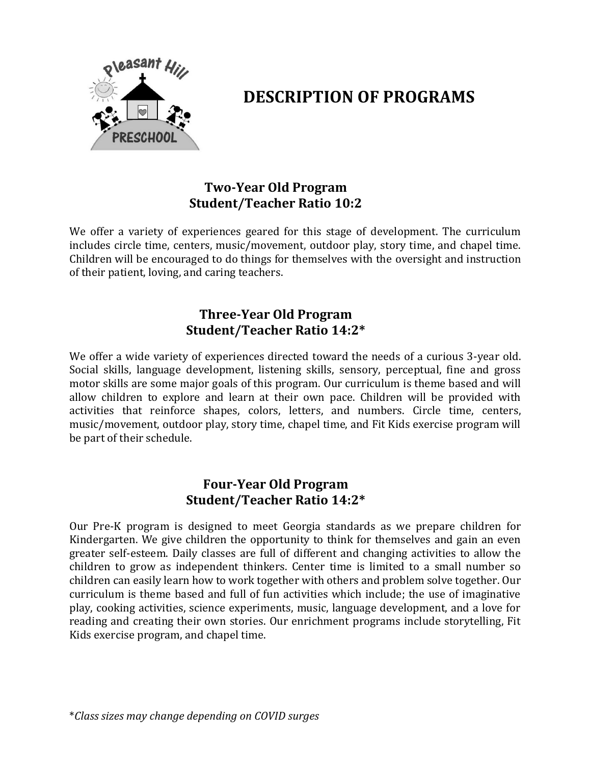

## **DESCRIPTION OF PROGRAMS**

### **Two-Year Old Program Student/Teacher Ratio 10:2**

We offer a variety of experiences geared for this stage of development. The curriculum includes circle time, centers, music/movement, outdoor play, story time, and chapel time. Children will be encouraged to do things for themselves with the oversight and instruction of their patient, loving, and caring teachers.

### **Three-Year Old Program Student/Teacher Ratio 14:2\***

We offer a wide variety of experiences directed toward the needs of a curious 3-year old. Social skills, language development, listening skills, sensory, perceptual, fine and gross motor skills are some major goals of this program. Our curriculum is theme based and will allow children to explore and learn at their own pace. Children will be provided with activities that reinforce shapes, colors, letters, and numbers. Circle time, centers, music/movement, outdoor play, story time, chapel time, and Fit Kids exercise program will be part of their schedule.

#### **Four-Year Old Program Student/Teacher Ratio 14:2\***

Our Pre-K program is designed to meet Georgia standards as we prepare children for Kindergarten. We give children the opportunity to think for themselves and gain an even greater self-esteem. Daily classes are full of different and changing activities to allow the children to grow as independent thinkers. Center time is limited to a small number so children can easily learn how to work together with others and problem solve together. Our curriculum is theme based and full of fun activities which include; the use of imaginative play, cooking activities, science experiments, music, language development, and a love for reading and creating their own stories. Our enrichment programs include storytelling, Fit Kids exercise program, and chapel time.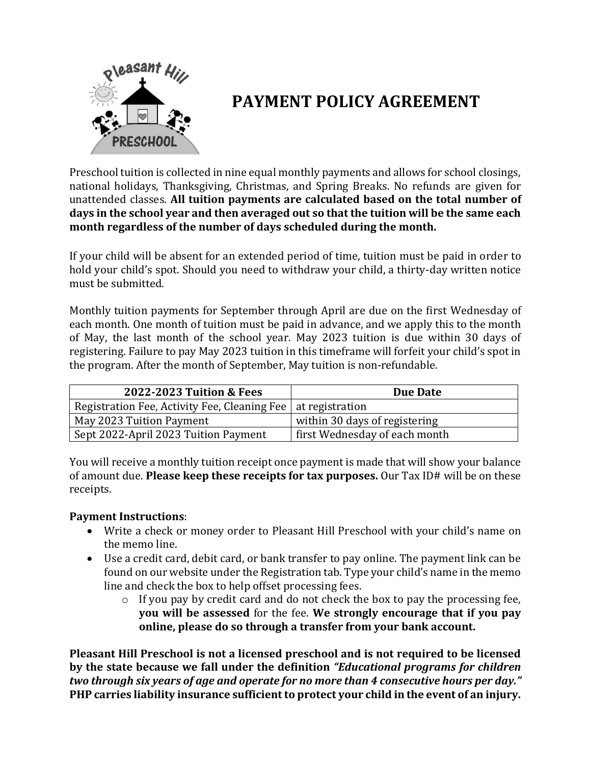

# **PAYMENT POLICY AGREEMENT**

Preschool tuition is collected in nine equal monthly payments and allows for school closings, national holidays, Thanksgiving, Christmas, and Spring Breaks. No refunds are given for unattended classes. **All tuition payments are calculated based on the total number of days in the school year and then averaged out so that the tuition will be the same each month regardless of the number of days scheduled during the month.**

If your child will be absent for an extended period of time, tuition must be paid in order to hold your child's spot. Should you need to withdraw your child, a thirty-day written notice must be submitted.

Monthly tuition payments for September through April are due on the first Wednesday of each month. One month of tuition must be paid in advance, and we apply this to the month of May, the last month of the school year. May 2023 tuition is due within 30 days of registering. Failure to pay May 2023 tuition in this timeframe will forfeit your child's spot in the program. After the month of September, May tuition is non-refundable.

| 2022-2023 Tuition & Fees                                       | <b>Due Date</b>               |
|----------------------------------------------------------------|-------------------------------|
| Registration Fee, Activity Fee, Cleaning Fee   at registration |                               |
| May 2023 Tuition Payment                                       | within 30 days of registering |
| Sept 2022-April 2023 Tuition Payment                           | first Wednesday of each month |

You will receive a monthly tuition receipt once payment is made that will show your balance of amount due. **Please keep these receipts for tax purposes.** Our Tax ID# will be on these receipts.

#### **Payment Instructions**:

- Write a check or money order to Pleasant Hill Preschool with your child's name on the memo line.
- Use a credit card, debit card, or bank transfer to pay online. The payment link can be found on our website under the Registration tab. Type your child's name in the memo line and check the box to help offset processing fees.
	- o If you pay by credit card and do not check the box to pay the processing fee, **you will be assessed** for the fee. **We strongly encourage that if you pay online, please do so through a transfer from your bank account.**

**Pleasant Hill Preschool is not a licensed preschool and is not required to be licensed by the state because we fall under the definition** *"Educational programs for children two through six years of age and operate for no more than 4 consecutive hours per day."*  **PHP carries liability insurance sufficient to protect your child in the event of an injury.**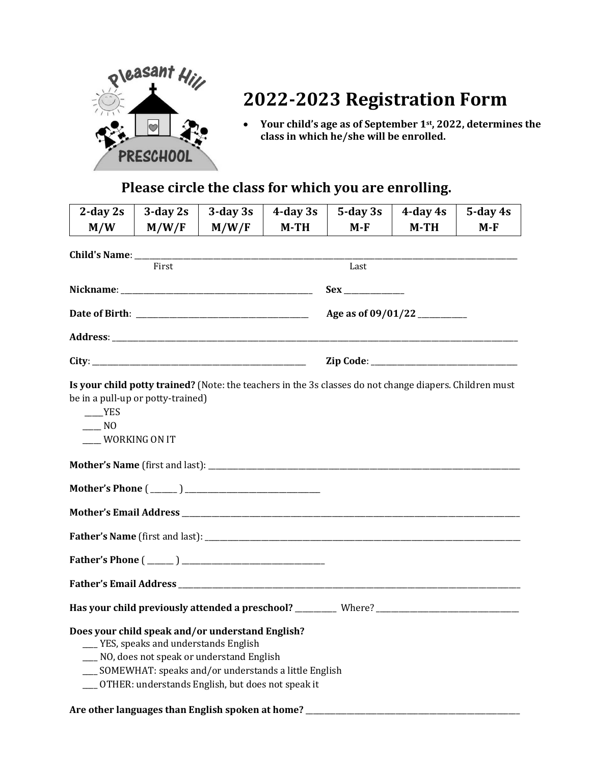

# **2022-2023 Registration Form**

• **Your child's age as of September 1st, 2022, determines the class in which he/she will be enrolled.**

## **Please circle the class for which you are enrolling.**

| $2$ -day $2s$                                                                                                                                                                            | $3$ -day $2s$                       | $3$ -day $3s$                                                                                                                                         | $4$ -day $3s$ | $5$ -day $3s$ | $4$ -day $4s$ | $5$ -day $4s$ |
|------------------------------------------------------------------------------------------------------------------------------------------------------------------------------------------|-------------------------------------|-------------------------------------------------------------------------------------------------------------------------------------------------------|---------------|---------------|---------------|---------------|
| M/W                                                                                                                                                                                      | M/W/F                               | M/W/F                                                                                                                                                 | $M-TH$        | $M-F$         | $M-TH$        | $M-F$         |
|                                                                                                                                                                                          |                                     |                                                                                                                                                       |               |               |               |               |
|                                                                                                                                                                                          | First                               |                                                                                                                                                       |               | Last          |               |               |
|                                                                                                                                                                                          |                                     |                                                                                                                                                       |               |               |               |               |
|                                                                                                                                                                                          |                                     |                                                                                                                                                       |               |               |               |               |
|                                                                                                                                                                                          |                                     |                                                                                                                                                       |               |               |               |               |
|                                                                                                                                                                                          |                                     |                                                                                                                                                       |               |               |               |               |
| Is your child potty trained? (Note: the teachers in the 3s classes do not change diapers. Children must<br>be in a pull-up or potty-trained)<br><b>YES</b><br>$\sim$ NO<br>WORKING ON IT |                                     |                                                                                                                                                       |               |               |               |               |
|                                                                                                                                                                                          |                                     |                                                                                                                                                       |               |               |               |               |
|                                                                                                                                                                                          |                                     |                                                                                                                                                       |               |               |               |               |
|                                                                                                                                                                                          |                                     |                                                                                                                                                       |               |               |               |               |
|                                                                                                                                                                                          |                                     |                                                                                                                                                       |               |               |               |               |
| Father's Phone $(\_\_)$                                                                                                                                                                  |                                     |                                                                                                                                                       |               |               |               |               |
|                                                                                                                                                                                          |                                     |                                                                                                                                                       |               |               |               |               |
|                                                                                                                                                                                          |                                     |                                                                                                                                                       |               |               |               |               |
| Does your child speak and/or understand English?<br>Are other languages than English spoken at home?                                                                                     | YES, speaks and understands English | NO, does not speak or understand English<br>SOMEWHAT: speaks and/or understands a little English<br>OTHER: understands English, but does not speak it |               |               |               |               |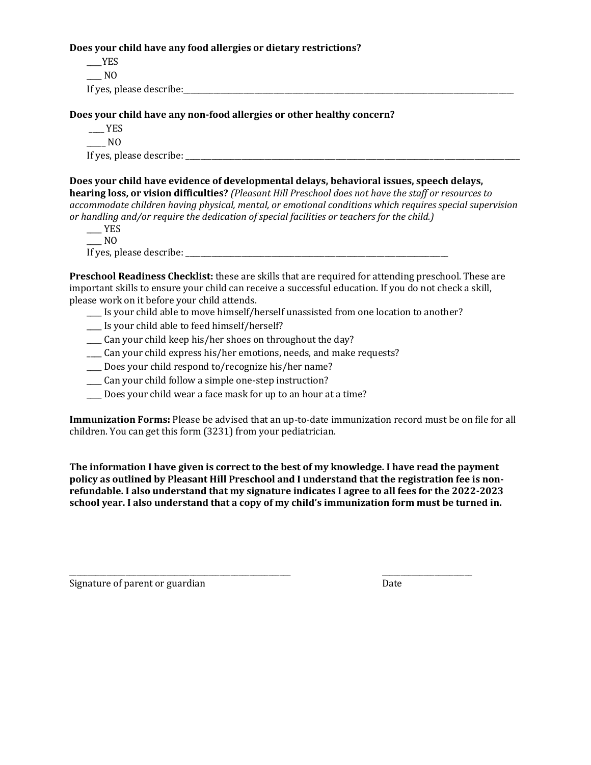**Does your child have any food allergies or dietary restrictions?**

 $\rule{1em}{0.15mm}$   $YES$  $\overline{\phantom{0}}$  NO If yes, please describe:  $\Box$ 

**Does your child have any non-food allergies or other healthy concern?**

 $-$  YES  $\overline{\phantom{0}}$  NO

If yes, please describe:  $\blacksquare$ 

**Does your child have evidence of developmental delays, behavioral issues, speech delays, hearing loss, or vision difficulties?** *(Pleasant Hill Preschool does not have the staff or resources to accommodate children having physical, mental, or emotional conditions which requires special supervision or handling and/or require the dedication of special facilities or teachers for the child.)*

 $\rule{1em}{0.15mm}$  YES  $\overline{\phantom{0}}$  NO If yes, please describe:

**Preschool Readiness Checklist:** these are skills that are required for attending preschool. These are important skills to ensure your child can receive a successful education. If you do not check a skill, please work on it before your child attends.

- \_\_\_\_ Is your child able to move himself/herself unassisted from one location to another?
- \_\_\_\_ Is your child able to feed himself/herself?
- \_\_\_\_ Can your child keep his/her shoes on throughout the day?
- \_\_\_\_ Can your child express his/her emotions, needs, and make requests?
- \_\_\_\_ Does your child respond to/recognize his/her name?
- \_\_\_\_ Can your child follow a simple one-step instruction?
- \_\_\_\_ Does your child wear a face mask for up to an hour at a time?

**Immunization Forms:** Please be advised that an up-to-date immunization record must be on file for all children. You can get this form (3231) from your pediatrician.

**The information I have given is correct to the best of my knowledge. I have read the payment policy as outlined by Pleasant Hill Preschool and I understand that the registration fee is nonrefundable. I also understand that my signature indicates I agree to all fees for the 2022-2023 school year. I also understand that a copy of my child's immunization form must be turned in.**

\_\_\_\_\_\_\_\_\_\_\_\_\_\_\_\_\_\_\_\_\_\_\_\_\_\_\_\_\_\_\_\_\_\_\_\_\_\_\_\_\_\_\_\_\_\_\_\_\_\_\_\_\_\_\_\_\_\_\_ \_\_\_\_\_\_\_\_\_\_\_\_\_\_\_\_\_\_\_\_\_\_\_\_

Signature of parent or guardian Date